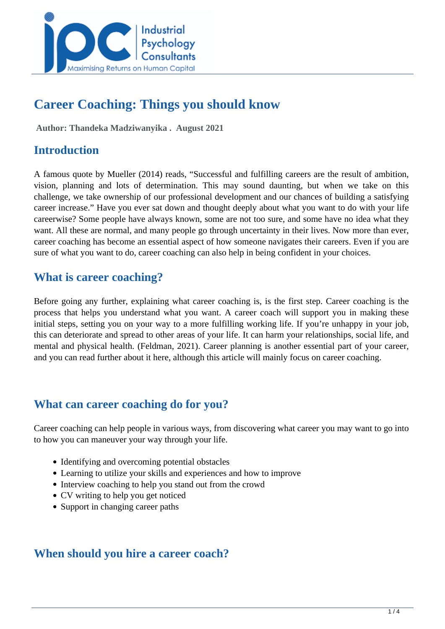

# **Career Coaching: Things you should know**

 **Author: Thandeka Madziwanyika . August 2021** 

## **Introduction**

A famous quote by Mueller (2014) reads, "Successful and fulfilling careers are the result of ambition, vision, planning and lots of determination. This may sound daunting, but when we take on this challenge, we take ownership of our professional development and our chances of building a satisfying career increase." Have you ever sat down and thought deeply about what you want to do with your life careerwise? Some people have always known, some are not too sure, and some have no idea what they want. All these are normal, and many people go through uncertainty in their lives. Now more than ever, career coaching has become an essential aspect of how someone navigates their careers. Even if you are sure of what you want to do, career coaching can also help in being confident in your choices.

### **What is career coaching?**

Before going any further, explaining what career coaching is, is the first step. Career coaching is the process that helps you understand what you want. A career coach will support you in making these initial steps, setting you on your way to a more fulfilling working life. If you're unhappy in your job, this can deteriorate and spread to other areas of your life. It can harm your relationships, social life, and mental and physical health. (Feldman, 2021). Career planning is another essential part of your career, and you can read further about it here, although this article will mainly focus on career coaching.

### **What can career coaching do for you?**

Career coaching can help people in various ways, from discovering what career you may want to go into to how you can maneuver your way through your life.

- Identifying and overcoming potential obstacles
- Learning to utilize your skills and experiences and how to improve
- Interview coaching to help you stand out from the crowd
- CV writing to help you get noticed
- Support in changing career paths

### **When should you hire a career coach?**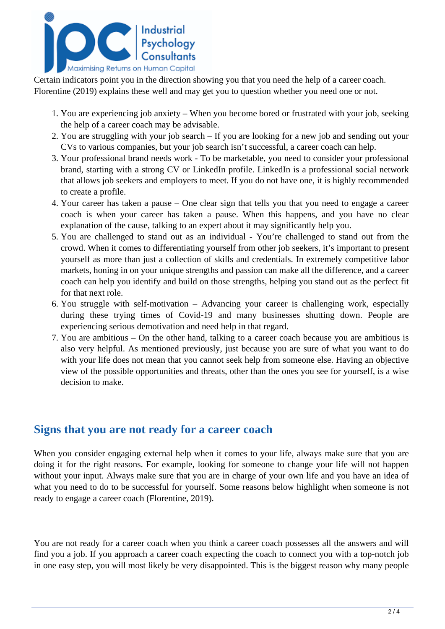

Certain indicators point you in the direction showing you that you need the help of a career coach. Florentine (2019) explains these well and may get you to question whether you need one or not.

- 1. You are experiencing job anxiety When you become bored or frustrated with your job, seeking the help of a career coach may be advisable.
- 2. You are struggling with your job search If you are looking for a new job and sending out your CVs to various companies, but your job search isn't successful, a career coach can help.
- 3. Your professional brand needs work To be marketable, you need to consider your professional brand, starting with a strong CV or LinkedIn profile. LinkedIn is a professional social network that allows job seekers and employers to meet. If you do not have one, it is highly recommended to create a profile.
- 4. Your career has taken a pause One clear sign that tells you that you need to engage a career coach is when your career has taken a pause. When this happens, and you have no clear explanation of the cause, talking to an expert about it may significantly help you.
- 5. You are challenged to stand out as an individual You're challenged to stand out from the crowd. When it comes to differentiating yourself from other job seekers, it's important to present yourself as more than just a collection of skills and credentials. In extremely competitive labor markets, honing in on your unique strengths and passion can make all the difference, and a career coach can help you identify and build on those strengths, helping you stand out as the perfect fit for that next role.
- 6. You struggle with self-motivation Advancing your career is challenging work, especially during these trying times of Covid-19 and many businesses shutting down. People are experiencing serious demotivation and need help in that regard.
- 7. You are ambitious On the other hand, talking to a career coach because you are ambitious is also very helpful. As mentioned previously, just because you are sure of what you want to do with your life does not mean that you cannot seek help from someone else. Having an objective view of the possible opportunities and threats, other than the ones you see for yourself, is a wise decision to make.

#### **Signs that you are not ready for a career coach**

When you consider engaging external help when it comes to your life, always make sure that you are doing it for the right reasons. For example, looking for someone to change your life will not happen without your input. Always make sure that you are in charge of your own life and you have an idea of what you need to do to be successful for yourself. Some reasons below highlight when someone is not ready to engage a career coach (Florentine, 2019).

You are not ready for a career coach when you think a career coach possesses all the answers and will find you a job. If you approach a career coach expecting the coach to connect you with a top-notch job in one easy step, you will most likely be very disappointed. This is the biggest reason why many people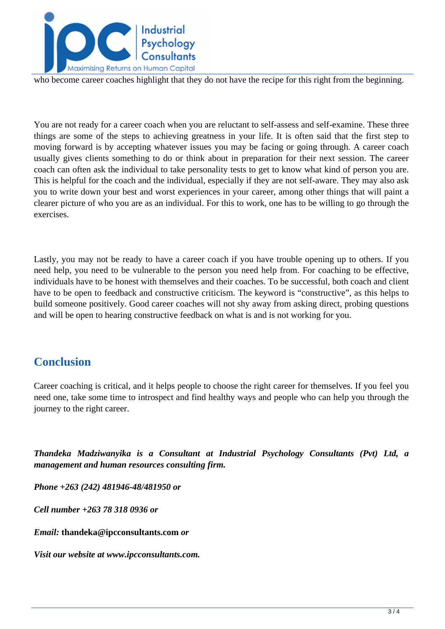

who become career coaches highlight that they do not have the recipe for this right from the beginning.

You are not ready for a career coach when you are reluctant to self-assess and self-examine. These three things are some of the steps to achieving greatness in your life. It is often said that the first step to moving forward is by accepting whatever issues you may be facing or going through. A career coach usually gives clients something to do or think about in preparation for their next session. The career coach can often ask the individual to take personality tests to get to know what kind of person you are. This is helpful for the coach and the individual, especially if they are not self-aware. They may also ask you to write down your best and worst experiences in your career, among other things that will paint a clearer picture of who you are as an individual. For this to work, one has to be willing to go through the exercises.

Lastly, you may not be ready to have a career coach if you have trouble opening up to others. If you need help, you need to be vulnerable to the person you need help from. For coaching to be effective, individuals have to be honest with themselves and their coaches. To be successful, both coach and client have to be open to feedback and constructive criticism. The keyword is "constructive", as this helps to build someone positively. Good career coaches will not shy away from asking direct, probing questions and will be open to hearing constructive feedback on what is and is not working for you.

## **Conclusion**

Career coaching is critical, and it helps people to choose the right career for themselves. If you feel you need one, take some time to introspect and find healthy ways and people who can help you through the journey to the right career.

*Thandeka Madziwanyika is a Consultant at Industrial Psychology Consultants (Pvt) Ltd, a management and human resources consulting firm.* 

*Phone +263 (242) 481946-48/481950 or* 

*Cell number +263 78 318 0936 or*

*Email:* **thandeka@ipcconsultants.com** *or* 

*Visit our website at www.ipcconsultants.com.*